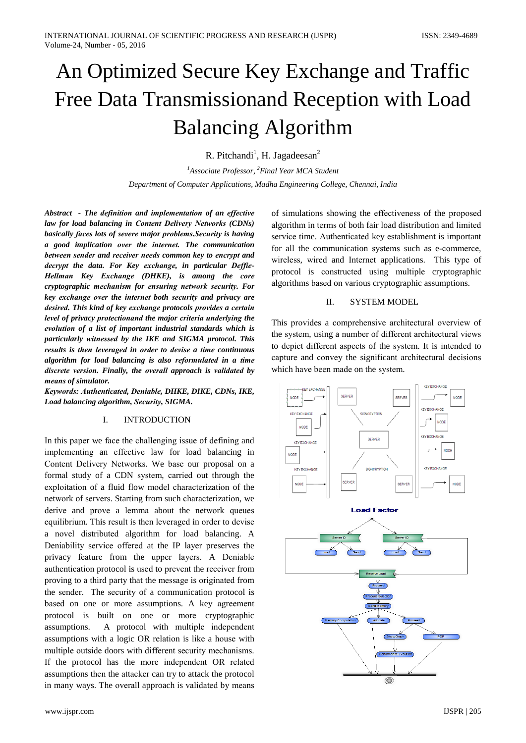# An Optimized Secure Key Exchange and Traffic Free Data Transmissionand Reception with Load **Balancing Algorithm**

R. Pitchandi<sup>1</sup>, H. Jagadeesan<sup>2</sup>

<sup>1</sup>Associate Professor, <sup>2</sup>Final Year MCA Student Department of Computer Applications, Madha Engineering College, Chennai, India

Abstract - The definition and implementation of an effective law for load balancing in Content Delivery Networks (CDNs) basically faces lots of severe major problems. Security is having a good implication over the internet. The communication between sender and receiver needs common key to encrypt and decrypt the data. For Key exchange, in particular Deffie-Hellman Key Exchange (DHKE), is among the core cryptographic mechanism for ensuring network security. For key exchange over the internet both security and privacy are desired. This kind of key exchange protocols provides a certain level of privacy protectionand the major criteria underlying the evolution of a list of important industrial standards which is particularly witnessed by the IKE and SIGMA protocol. This results is then leveraged in order to devise a time continuous algorithm for load balancing is also reformulated in a time discrete version. Finally, the overall approach is validated by means of simulator.

Keywords: Authenticated, Deniable, DHKE, DIKE, CDNs, IKE, Load balancing algorithm, Security, SIGMA.

## $\mathbf{I}$ **INTRODUCTION**

In this paper we face the challenging issue of defining and implementing an effective law for load balancing in Content Delivery Networks. We base our proposal on a formal study of a CDN system, carried out through the exploitation of a fluid flow model characterization of the network of servers. Starting from such characterization, we derive and prove a lemma about the network queues equilibrium. This result is then leveraged in order to devise a novel distributed algorithm for load balancing. A Deniability service offered at the IP layer preserves the privacy feature from the upper layers. A Deniable authentication protocol is used to prevent the receiver from proving to a third party that the message is originated from the sender. The security of a communication protocol is based on one or more assumptions. A key agreement protocol is built on one or more cryptographic A protocol with multiple independent assumptions. assumptions with a logic OR relation is like a house with multiple outside doors with different security mechanisms. If the protocol has the more independent OR related assumptions then the attacker can try to attack the protocol in many ways. The overall approach is validated by means

of simulations showing the effectiveness of the proposed algorithm in terms of both fair load distribution and limited service time. Authenticated key establishment is important for all the communication systems such as e-commerce, wireless, wired and Internet applications. This type of protocol is constructed using multiple cryptographic algorithms based on various cryptographic assumptions.

## Π. **SYSTEM MODEL**

This provides a comprehensive architectural overview of the system, using a number of different architectural views to depict different aspects of the system. It is intended to capture and convey the significant architectural decisions which have been made on the system.

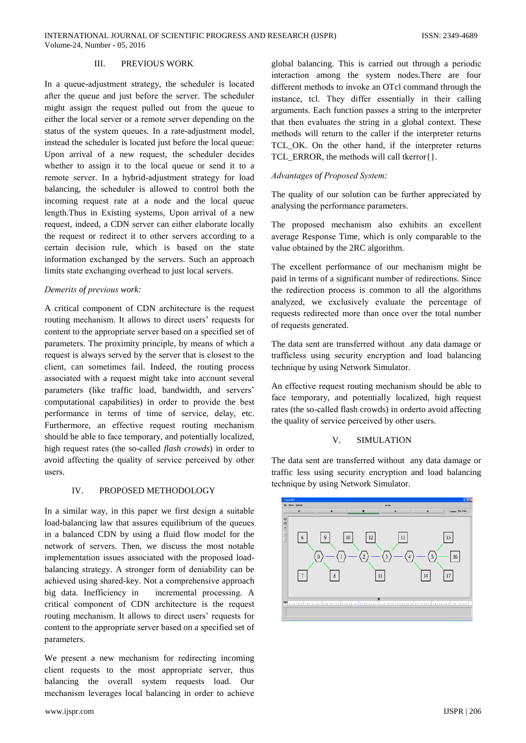### PREVIOUS WORK  $III$

In a queue-adjustment strategy, the scheduler is located after the queue and just before the server. The scheduler might assign the request pulled out from the queue to either the local server or a remote server depending on the status of the system queues. In a rate-adjustment model, instead the scheduler is located just before the local queue: Upon arrival of a new request, the scheduler decides whether to assign it to the local queue or send it to a remote server. In a hybrid-adjustment strategy for load balancing, the scheduler is allowed to control both the incoming request rate at a node and the local queue length. Thus in Existing systems, Upon arrival of a new request, indeed, a CDN server can either elaborate locally the request or redirect it to other servers according to a certain decision rule, which is based on the state information exchanged by the servers. Such an approach limits state exchanging overhead to just local servers.

## Demerits of previous work:

A critical component of CDN architecture is the request routing mechanism. It allows to direct users' requests for content to the appropriate server based on a specified set of parameters. The proximity principle, by means of which a request is always served by the server that is closest to the client, can sometimes fail. Indeed, the routing process associated with a request might take into account several parameters (like traffic load, bandwidth, and servers' computational capabilities) in order to provide the best performance in terms of time of service, delay, etc. Furthermore, an effective request routing mechanism should be able to face temporary, and potentially localized, high request rates (the so-called *flash crowds*) in order to avoid affecting the quality of service perceived by other  $n\rho$ ere

## $\mathbf{I} \mathbf{V}$ PROPOSED METHODOLOGY

In a similar way, in this paper we first design a suitable load-balancing law that assures equilibrium of the queues in a balanced CDN by using a fluid flow model for the network of servers. Then, we discuss the most notable implementation issues associated with the proposed loadbalancing strategy. A stronger form of deniability can be achieved using shared-key. Not a comprehensive approach big data. Inefficiency in incremental processing. A critical component of CDN architecture is the request routing mechanism. It allows to direct users' requests for content to the appropriate server based on a specified set of parameters.

We present a new mechanism for redirecting incoming client requests to the most appropriate server, thus balancing the overall system requests load. Our mechanism leverages local balancing in order to achieve

global balancing. This is carried out through a periodic interaction among the system nodes. There are four different methods to invoke an OTcl command through the instance, tcl. They differ essentially in their calling arguments. Each function passes a string to the interpreter that then evaluates the string in a global context. These methods will return to the caller if the interpreter returns TCL\_OK. On the other hand, if the interpreter returns TCL\_ERROR, the methods will call tkerror{}.

## Advantages of Proposed System:

The quality of our solution can be further appreciated by analysing the performance parameters.

The proposed mechanism also exhibits an excellent average Response Time, which is only comparable to the value obtained by the 2RC algorithm.

The excellent performance of our mechanism might be paid in terms of a significant number of redirections. Since the redirection process is common to all the algorithms analyzed, we exclusively evaluate the percentage of requests redirected more than once over the total number of requests generated.

The data sent are transferred without any data damage or trafficless using security encryption and load balancing technique by using Network Simulator.

An effective request routing mechanism should be able to face temporary, and potentially localized, high request rates (the so-called flash crowds) in order to avoid affecting the quality of service perceived by other users.

## $\overline{V}$ **SIMULATION**

The data sent are transferred without any data damage or traffic less using security encryption and load balancing technique by using Network Simulator.

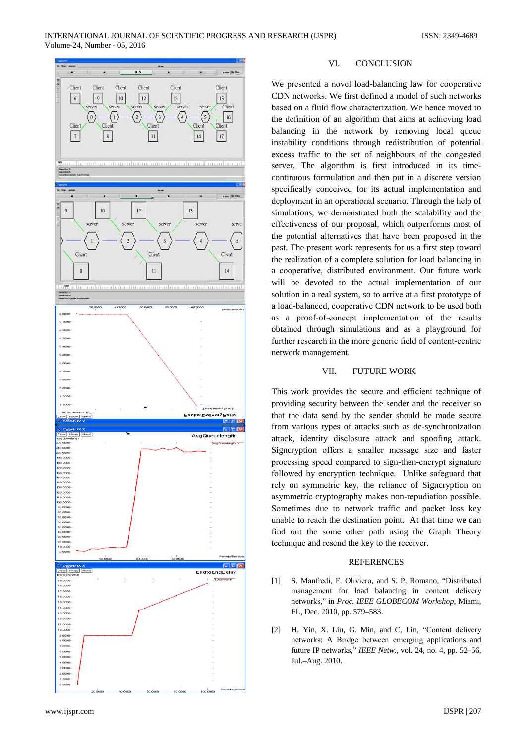

#### VI. **CONCLUSION**

We presented a novel load-balancing law for cooperative CDN networks. We first defined a model of such networks based on a fluid flow characterization. We hence moved to the definition of an algorithm that aims at achieving load balancing in the network by removing local queue instability conditions through redistribution of potential excess traffic to the set of neighbours of the congested server. The algorithm is first introduced in its timecontinuous formulation and then put in a discrete version specifically conceived for its actual implementation and deployment in an operational scenario. Through the help of simulations, we demonstrated both the scalability and the effectiveness of our proposal, which outperforms most of the potential alternatives that have been proposed in the past. The present work represents for us a first step toward the realization of a complete solution for load balancing in a cooperative, distributed environment. Our future work will be devoted to the actual implementation of our solution in a real system, so to arrive at a first prototype of a load-balanced, cooperative CDN network to be used both as a proof-of-concept implementation of the results obtained through simulations and as a playground for further research in the more generic field of content-centric network management.

#### VII. **FUTURE WORK**

This work provides the secure and efficient technique of providing security between the sender and the receiver so that the data send by the sender should be made secure from various types of attacks such as de-synchronization attack, identity disclosure attack and spoofing attack. Signcryption offers a smaller message size and faster processing speed compared to sign-then-encrypt signature followed by encryption technique. Unlike safeguard that rely on symmetric key, the reliance of Signeryption on asymmetric cryptography makes non-repudiation possible. Sometimes due to network traffic and packet loss key unable to reach the destination point. At that time we can find out the some other path using the Graph Theory technique and resend the key to the receiver.

## **REFERENCES**

- S. Manfredi, F. Oliviero, and S. P. Romano, "Distributed  $[11]$ management for load balancing in content delivery networks," in Proc. IEEE GLOBECOM Workshop, Miami, FL, Dec. 2010, pp. 579-583.
- H. Yin, X. Liu, G. Min, and C. Lin, "Content delivery  $\lceil 2 \rceil$ networks: A Bridge between emerging applications and future IP networks," IEEE Netw., vol. 24, no. 4, pp. 52-56, Jul.-Aug. 2010.